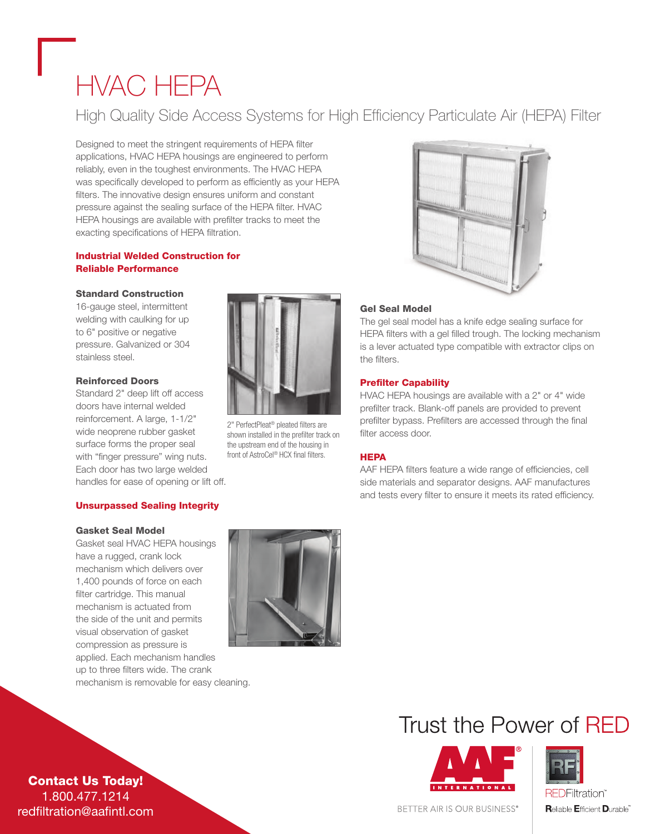# HVAC HEPA

### High Quality Side Access Systems for High Efficiency Particulate Air (HEPA) Filter

Designed to meet the stringent requirements of HEPA filter applications, HVAC HEPA housings are engineered to perform reliably, even in the toughest environments. The HVAC HEPA was specifically developed to perform as efficiently as your HEPA filters. The innovative design ensures uniform and constant pressure against the sealing surface of the HEPA filter. HVAC HEPA housings are available with prefilter tracks to meet the exacting specifications of HEPA filtration.

#### Industrial Welded Construction for Reliable Performance

#### Standard Construction

16-gauge steel, intermittent welding with caulking for up to 6" positive or negative pressure. Galvanized or 304 stainless steel.

#### Reinforced Doors

Standard 2" deep lift off access doors have internal welded reinforcement. A large, 1-1/2" wide neoprene rubber gasket surface forms the proper seal with "finger pressure" wing nuts. Each door has two large welded handles for ease of opening or lift off.

#### Unsurpassed Sealing Integrity

#### Gasket Seal Model

Gasket seal HVAC HEPA housings have a rugged, crank lock mechanism which delivers over 1,400 pounds of force on each filter cartridge. This manual mechanism is actuated from the side of the unit and permits visual observation of gasket compression as pressure is applied. Each mechanism handles up to three filters wide. The crank mechanism is removable for easy cleaning.



2" PerfectPleat® pleated filters are shown installed in the prefilter track on the upstream end of the housing in front of AstroCel® HCX final filters.



#### Gel Seal Model

The gel seal model has a knife edge sealing surface for HEPA filters with a gel filled trough. The locking mechanism is a lever actuated type compatible with extractor clips on the filters.

#### Prefilter Capability

HVAC HEPA housings are available with a 2" or 4" wide prefilter track. Blank-off panels are provided to prevent prefilter bypass. Prefilters are accessed through the final filter access door.

#### **HEPA**

AAF HEPA filters feature a wide range of efficiencies, cell side materials and separator designs. AAF manufactures and tests every filter to ensure it meets its rated efficiency.

### Trust the Power of RFD





BETTER AIR IS OUR BUSINESS®

**Reliable Efficient Durable** 

Contact Us Today! 1.800.477.1214 redfiltration@aafintl.com